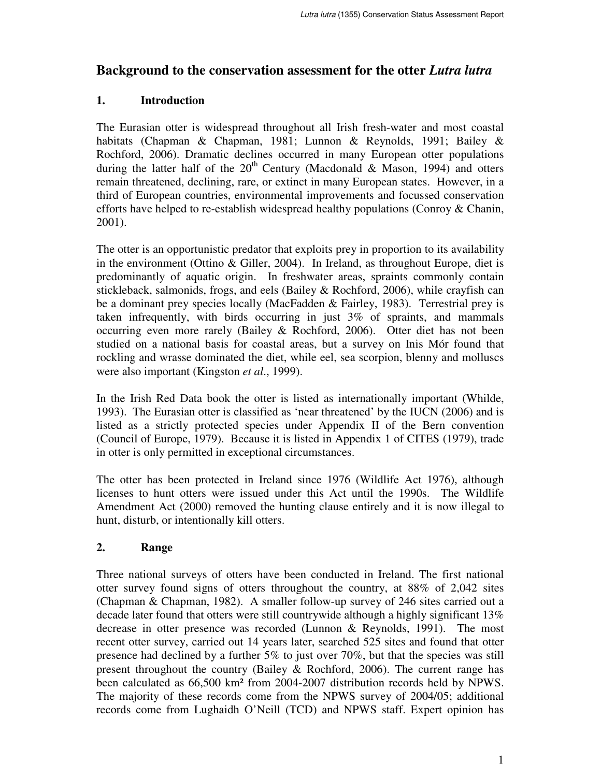# **Background to the conservation assessment for the otter** *Lutra lutra*

# **1. Introduction**

The Eurasian otter is widespread throughout all Irish fresh-water and most coastal habitats (Chapman & Chapman, 1981; Lunnon & Reynolds, 1991; Bailey & Rochford, 2006). Dramatic declines occurred in many European otter populations during the latter half of the  $20<sup>th</sup>$  Century (Macdonald & Mason, 1994) and otters remain threatened, declining, rare, or extinct in many European states. However, in a third of European countries, environmental improvements and focussed conservation efforts have helped to re-establish widespread healthy populations (Conroy & Chanin, 2001).

The otter is an opportunistic predator that exploits prey in proportion to its availability in the environment (Ottino & Giller, 2004). In Ireland, as throughout Europe, diet is predominantly of aquatic origin. In freshwater areas, spraints commonly contain stickleback, salmonids, frogs, and eels (Bailey & Rochford, 2006), while crayfish can be a dominant prey species locally (MacFadden & Fairley, 1983). Terrestrial prey is taken infrequently, with birds occurring in just 3% of spraints, and mammals occurring even more rarely (Bailey & Rochford, 2006). Otter diet has not been studied on a national basis for coastal areas, but a survey on Inis Mór found that rockling and wrasse dominated the diet, while eel, sea scorpion, blenny and molluscs were also important (Kingston *et al*., 1999).

In the Irish Red Data book the otter is listed as internationally important (Whilde, 1993). The Eurasian otter is classified as 'near threatened' by the IUCN (2006) and is listed as a strictly protected species under Appendix II of the Bern convention (Council of Europe, 1979). Because it is listed in Appendix 1 of CITES (1979), trade in otter is only permitted in exceptional circumstances.

The otter has been protected in Ireland since 1976 (Wildlife Act 1976), although licenses to hunt otters were issued under this Act until the 1990s. The Wildlife Amendment Act (2000) removed the hunting clause entirely and it is now illegal to hunt, disturb, or intentionally kill otters.

# **2. Range**

Three national surveys of otters have been conducted in Ireland. The first national otter survey found signs of otters throughout the country, at 88% of 2,042 sites (Chapman & Chapman, 1982). A smaller follow-up survey of 246 sites carried out a decade later found that otters were still countrywide although a highly significant 13% decrease in otter presence was recorded (Lunnon & Reynolds, 1991). The most recent otter survey, carried out 14 years later, searched 525 sites and found that otter presence had declined by a further 5% to just over 70%, but that the species was still present throughout the country (Bailey & Rochford, 2006). The current range has been calculated as 66,500 km² from 2004-2007 distribution records held by NPWS. The majority of these records come from the NPWS survey of 2004/05; additional records come from Lughaidh O'Neill (TCD) and NPWS staff. Expert opinion has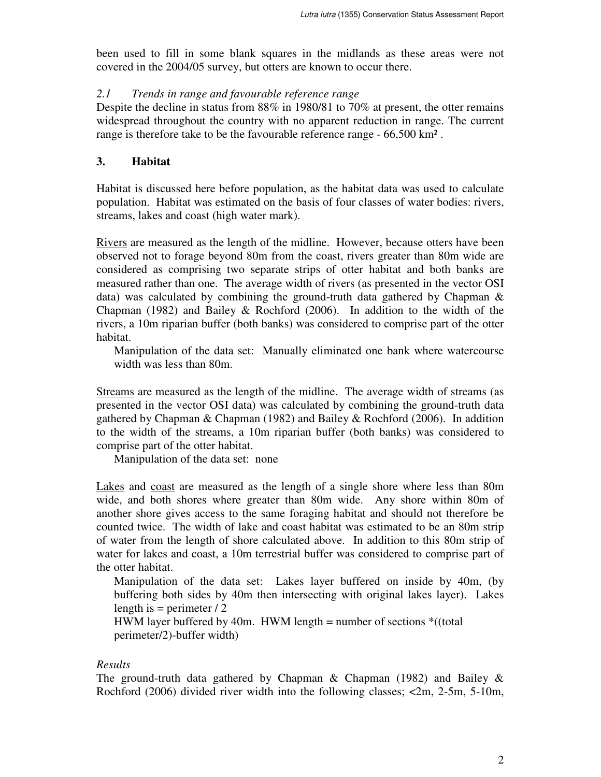been used to fill in some blank squares in the midlands as these areas were not covered in the 2004/05 survey, but otters are known to occur there.

#### *2.1 Trends in range and favourable reference range*

Despite the decline in status from 88% in 1980/81 to 70% at present, the otter remains widespread throughout the country with no apparent reduction in range. The current range is therefore take to be the favourable reference range - 66,500 km² .

# **3. Habitat**

Habitat is discussed here before population, as the habitat data was used to calculate population. Habitat was estimated on the basis of four classes of water bodies: rivers, streams, lakes and coast (high water mark).

Rivers are measured as the length of the midline. However, because otters have been observed not to forage beyond 80m from the coast, rivers greater than 80m wide are considered as comprising two separate strips of otter habitat and both banks are measured rather than one. The average width of rivers (as presented in the vector OSI data) was calculated by combining the ground-truth data gathered by Chapman & Chapman (1982) and Bailey & Rochford (2006). In addition to the width of the rivers, a 10m riparian buffer (both banks) was considered to comprise part of the otter habitat.

Manipulation of the data set: Manually eliminated one bank where watercourse width was less than 80m.

Streams are measured as the length of the midline. The average width of streams (as presented in the vector OSI data) was calculated by combining the ground-truth data gathered by Chapman & Chapman (1982) and Bailey & Rochford (2006). In addition to the width of the streams, a 10m riparian buffer (both banks) was considered to comprise part of the otter habitat.

Manipulation of the data set: none

Lakes and coast are measured as the length of a single shore where less than 80m wide, and both shores where greater than 80m wide. Any shore within 80m of another shore gives access to the same foraging habitat and should not therefore be counted twice. The width of lake and coast habitat was estimated to be an 80m strip of water from the length of shore calculated above. In addition to this 80m strip of water for lakes and coast, a 10m terrestrial buffer was considered to comprise part of the otter habitat.

Manipulation of the data set: Lakes layer buffered on inside by 40m, (by buffering both sides by 40m then intersecting with original lakes layer). Lakes length is  $=$  perimeter  $\frac{1}{2}$ 

HWM layer buffered by 40m. HWM length = number of sections  $*($  (total perimeter/2)-buffer width)

### *Results*

The ground-truth data gathered by Chapman  $\&$  Chapman (1982) and Bailey  $\&$ Rochford (2006) divided river width into the following classes; <2m, 2-5m, 5-10m,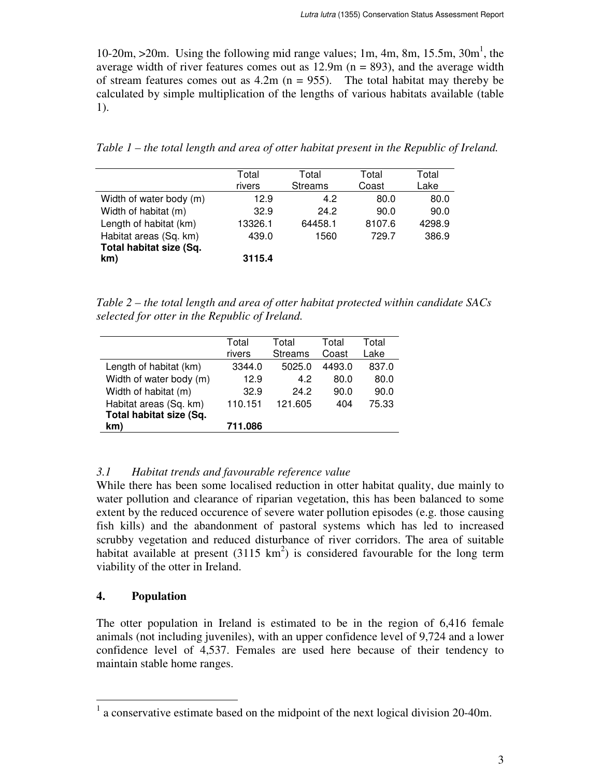10-20m,  $>$ 20m. Using the following mid range values; 1m, 4m, 8m, 15.5m, 30m<sup>1</sup>, the average width of river features comes out as  $12.9m$  ( $n = 893$ ), and the average width of stream features comes out as  $4.2m$  (n = 955). The total habitat may thereby be calculated by simple multiplication of the lengths of various habitats available (table 1).

*Table 1 – the total length and area of otter habitat present in the Republic of Ireland.*

|                         | Total<br>rivers | Total<br><b>Streams</b> | Total<br>Coast | Total<br>Lake |
|-------------------------|-----------------|-------------------------|----------------|---------------|
| Width of water body (m) | 12.9            | 4.2                     | 80.0           | 80.0          |
| Width of habitat (m)    | 32.9            | 24.2                    | 90.0           | 90.0          |
| Length of habitat (km)  | 13326.1         | 64458.1                 | 8107.6         | 4298.9        |
| Habitat areas (Sq. km)  | 439.0           | 1560                    | 729.7          | 386.9         |
| Total habitat size (Sq. |                 |                         |                |               |
| km)                     | 3115.4          |                         |                |               |

*Table 2 – the total length and area of otter habitat protected within candidate SACs selected for otter in the Republic of Ireland.*

|                         | Total<br>rivers | Total<br><b>Streams</b> | Total<br>Coast | Total<br>Lake |
|-------------------------|-----------------|-------------------------|----------------|---------------|
| Length of habitat (km)  | 3344.0          | 5025.0                  | 4493.0         | 837.0         |
| Width of water body (m) | 12.9            | 4.2                     | 80.0           | 80.0          |
| Width of habitat (m)    | 32.9            | 24.2                    | 90.0           | 90.0          |
| Habitat areas (Sq. km)  | 110.151         | 121.605                 | 404            | 75.33         |
| Total habitat size (Sq. |                 |                         |                |               |
| km)                     | 711.086         |                         |                |               |

# *3.1 Habitat trends and favourable reference value*

While there has been some localised reduction in otter habitat quality, due mainly to water pollution and clearance of riparian vegetation, this has been balanced to some extent by the reduced occurence of severe water pollution episodes (e.g. those causing fish kills) and the abandonment of pastoral systems which has led to increased scrubby vegetation and reduced disturbance of river corridors. The area of suitable habitat available at present  $(3115 \text{ km}^2)$  is considered favourable for the long term viability of the otter in Ireland.

# **4. Population**

The otter population in Ireland is estimated to be in the region of 6,416 female animals (not including juveniles), with an upper confidence level of 9,724 and a lower confidence level of 4,537. Females are used here because of their tendency to maintain stable home ranges.

<sup>&</sup>lt;sup>1</sup> a conservative estimate based on the midpoint of the next logical division 20-40m.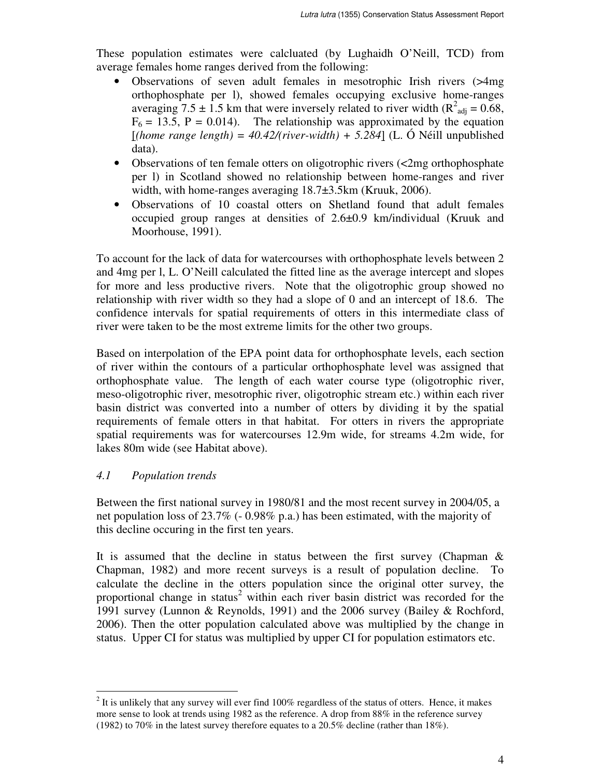These population estimates were calcluated (by Lughaidh O'Neill, TCD) from average females home ranges derived from the following:

- Observations of seven adult females in mesotrophic Irish rivers (>4mg orthophosphate per l), showed females occupying exclusive home-ranges averaging 7.5  $\pm$  1.5 km that were inversely related to river width (R<sup>2</sup><sub>adj</sub> = 0.68,  $F_6 = 13.5$ ,  $P = 0.014$ ). The relationship was approximated by the equation  $[$ (*home range length*) = 40.42/(*river-width*) + 5.284] (L. Ó Néill unpublished data).
- Observations of ten female otters on oligotrophic rivers (<2mg orthophosphate per l) in Scotland showed no relationship between home-ranges and river width, with home-ranges averaging 18.7±3.5km (Kruuk, 2006).
- Observations of 10 coastal otters on Shetland found that adult females occupied group ranges at densities of 2.6±0.9 km/individual (Kruuk and Moorhouse, 1991).

To account for the lack of data for watercourses with orthophosphate levels between 2 and 4mg per l, L. O'Neill calculated the fitted line as the average intercept and slopes for more and less productive rivers. Note that the oligotrophic group showed no relationship with river width so they had a slope of 0 and an intercept of 18.6. The confidence intervals for spatial requirements of otters in this intermediate class of river were taken to be the most extreme limits for the other two groups.

Based on interpolation of the EPA point data for orthophosphate levels, each section of river within the contours of a particular orthophosphate level was assigned that orthophosphate value. The length of each water course type (oligotrophic river, meso-oligotrophic river, mesotrophic river, oligotrophic stream etc.) within each river basin district was converted into a number of otters by dividing it by the spatial requirements of female otters in that habitat. For otters in rivers the appropriate spatial requirements was for watercourses 12.9m wide, for streams 4.2m wide, for lakes 80m wide (see Habitat above).

# *4.1 Population trends*

 $\overline{a}$ 

Between the first national survey in 1980/81 and the most recent survey in 2004/05, a net population loss of 23.7% (- 0.98% p.a.) has been estimated, with the majority of this decline occuring in the first ten years.

It is assumed that the decline in status between the first survey (Chapman & Chapman, 1982) and more recent surveys is a result of population decline. To calculate the decline in the otters population since the original otter survey, the proportional change in status<sup>2</sup> within each river basin district was recorded for the 1991 survey (Lunnon & Reynolds, 1991) and the 2006 survey (Bailey & Rochford, 2006). Then the otter population calculated above was multiplied by the change in status. Upper CI for status was multiplied by upper CI for population estimators etc.

 $2<sup>2</sup>$  It is unlikely that any survey will ever find 100% regardless of the status of otters. Hence, it makes more sense to look at trends using 1982 as the reference. A drop from 88% in the reference survey (1982) to 70% in the latest survey therefore equates to a 20.5% decline (rather than 18%).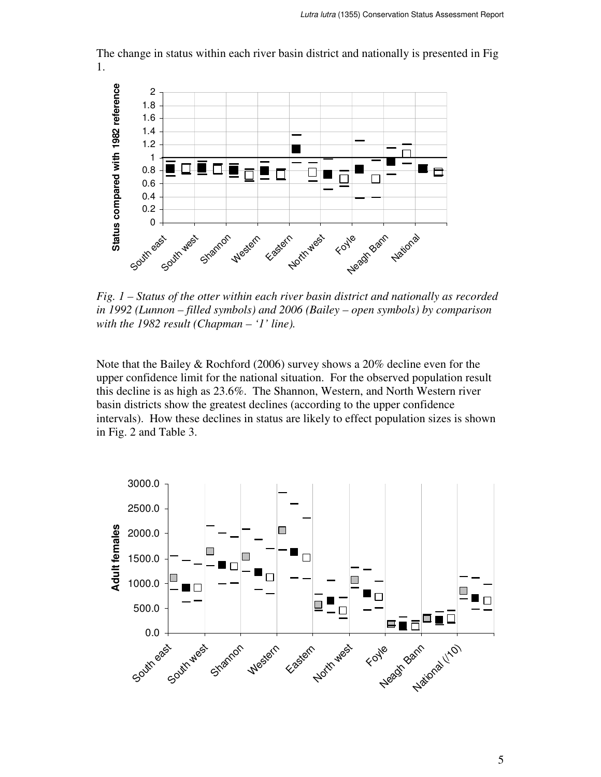The change in status within each river basin district and nationally is presented in Fig 1.



*Fig. 1 – Status of the otter within each river basin district and nationally as recorded in 1992 (Lunnon – filled symbols) and 2006 (Bailey – open symbols) by comparison with the 1982 result (Chapman – '1' line).*

Note that the Bailey & Rochford (2006) survey shows a 20% decline even for the upper confidence limit for the national situation. For the observed population result this decline is as high as 23.6%. The Shannon, Western, and North Western river basin districts show the greatest declines (according to the upper confidence intervals). How these declines in status are likely to effect population sizes is shown in Fig. 2 and Table 3.

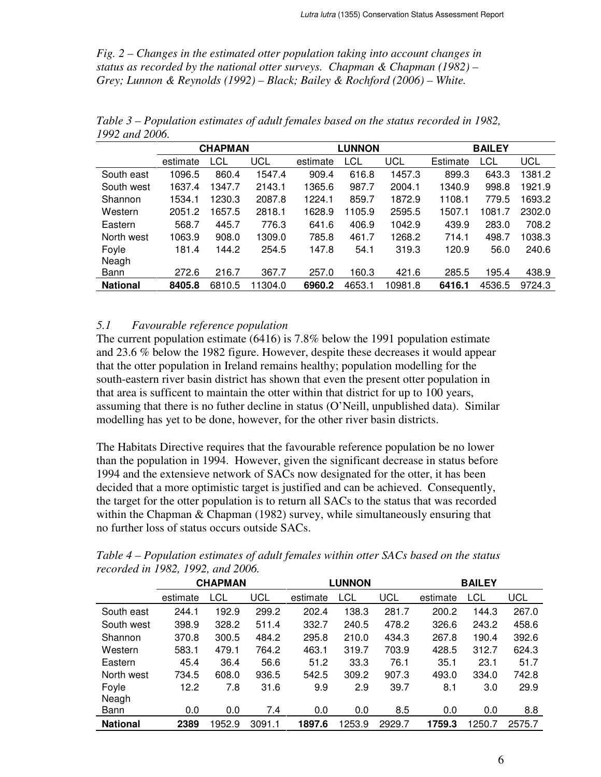*Fig. 2 – Changes in the estimated otter population taking into account changes in status as recorded by the national otter surveys. Chapman & Chapman (1982) – Grey; Lunnon & Reynolds (1992) – Black; Bailey & Rochford (2006) – White.*

|                 | <b>CHAPMAN</b> |        | <b>LUNNON</b> |          |        | <b>BAILEY</b> |          |        |            |
|-----------------|----------------|--------|---------------|----------|--------|---------------|----------|--------|------------|
|                 | estimate       | LCL    | UCL           | estimate | LCL    | UCL           | Estimate | LCL    | <b>UCL</b> |
| South east      | 1096.5         | 860.4  | 1547.4        | 909.4    | 616.8  | 1457.3        | 899.3    | 643.3  | 1381.2     |
| South west      | 1637.4         | 1347.7 | 2143.1        | 1365.6   | 987.7  | 2004.1        | 1340.9   | 998.8  | 1921.9     |
| Shannon         | 1534.1         | 1230.3 | 2087.8        | 1224.1   | 859.7  | 1872.9        | 1108.1   | 779.5  | 1693.2     |
| Western         | 2051.2         | 1657.5 | 2818.1        | 1628.9   | 1105.9 | 2595.5        | 1507.1   | 1081.7 | 2302.0     |
| Eastern         | 568.7          | 445.7  | 776.3         | 641.6    | 406.9  | 1042.9        | 439.9    | 283.0  | 708.2      |
| North west      | 1063.9         | 908.0  | 1309.0        | 785.8    | 461.7  | 1268.2        | 714.1    | 498.7  | 1038.3     |
| Foyle           | 181.4          | 144.2  | 254.5         | 147.8    | 54.1   | 319.3         | 120.9    | 56.0   | 240.6      |
| Neagh           |                |        |               |          |        |               |          |        |            |
| Bann            | 272.6          | 216.7  | 367.7         | 257.0    | 160.3  | 421.6         | 285.5    | 195.4  | 438.9      |
| <b>National</b> | 8405.8         | 6810.5 | 11304.0       | 6960.2   | 4653.1 | 10981.8       | 6416.1   | 4536.5 | 9724.3     |

*Table 3 – Population estimates of adult females based on the status recorded in 1982, 1992 and 2006.*

#### *5.1 Favourable reference population*

The current population estimate (6416) is 7.8% below the 1991 population estimate and 23.6 % below the 1982 figure. However, despite these decreases it would appear that the otter population in Ireland remains healthy; population modelling for the south-eastern river basin district has shown that even the present otter population in that area is sufficent to maintain the otter within that district for up to 100 years, assuming that there is no futher decline in status (O'Neill, unpublished data). Similar modelling has yet to be done, however, for the other river basin districts.

The Habitats Directive requires that the favourable reference population be no lower than the population in 1994. However, given the significant decrease in status before 1994 and the extensieve network of SACs now designated for the otter, it has been decided that a more optimistic target is justified and can be achieved. Consequently, the target for the otter population is to return all SACs to the status that was recorded within the Chapman & Chapman (1982) survey, while simultaneously ensuring that no further loss of status occurs outside SACs.

|                 | <b>CHAPMAN</b> |       | <b>LUNNON</b> |          |        | <b>BAILEY</b> |          |        |        |
|-----------------|----------------|-------|---------------|----------|--------|---------------|----------|--------|--------|
|                 | estimate       | LCL   | UCL           | estimate | LCL    | UCL           | estimate | LCL    | UCL    |
| South east      | 244.1          | 192.9 | 299.2         | 202.4    | 138.3  | 281.7         | 200.2    | 144.3  | 267.0  |
| South west      | 398.9          | 328.2 | 511.4         | 332.7    | 240.5  | 478.2         | 326.6    | 243.2  | 458.6  |
| Shannon         | 370.8          | 300.5 | 484.2         | 295.8    | 210.0  | 434.3         | 267.8    | 190.4  | 392.6  |
| Western         | 583.1          | 479.1 | 764.2         | 463.1    | 319.7  | 703.9         | 428.5    | 312.7  | 624.3  |
| Eastern         | 45.4           | 36.4  | 56.6          | 51.2     | 33.3   | 76.1          | 35.1     | 23.1   | 51.7   |
| North west      | 734.5          | 608.0 | 936.5         | 542.5    | 309.2  | 907.3         | 493.0    | 334.0  | 742.8  |
| Foyle           | 12.2           | 7.8   | 31.6          | 9.9      | 2.9    | 39.7          | 8.1      | 3.0    | 29.9   |
| Neagh           |                |       |               |          |        |               |          |        |        |
| Bann            | 0.0            | 0.0   | 7.4           | 0.0      | 0.0    | 8.5           | 0.0      | 0.0    | 8.8    |
| <b>National</b> | 2389           | 952.9 | 3091.1        | 1897.6   | 1253.9 | 2929.7        | 1759.3   | 1250.7 | 2575.7 |

*Table 4 – Population estimates of adult females within otter SACs based on the status recorded in 1982, 1992, and 2006.*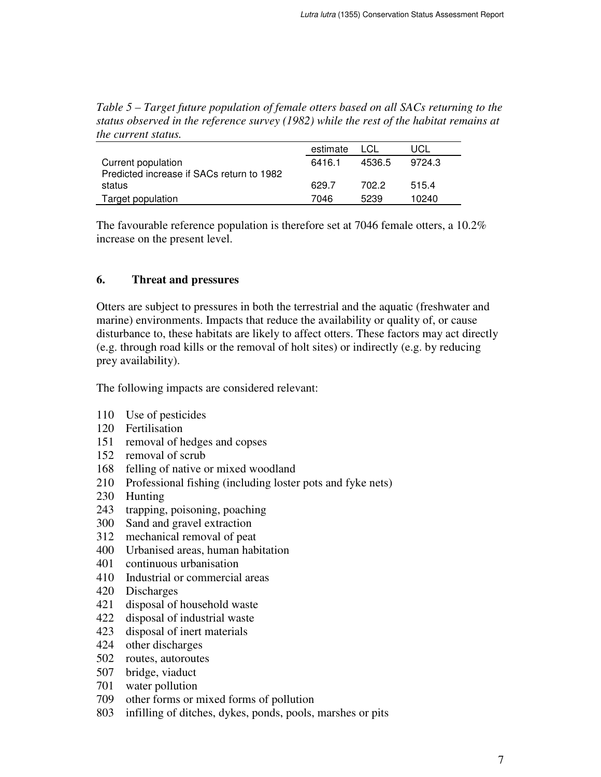*Table 5 – Target future population of female otters based on all SACs returning to the status observed in the reference survey (1982) while the rest of the habitat remains at the current status.*

|                                           | estimate | LCL    | UCL    |
|-------------------------------------------|----------|--------|--------|
| Current population                        | 6416.1   | 4536.5 | 9724.3 |
| Predicted increase if SACs return to 1982 |          |        |        |
| status                                    | 629.7    | 702.2  | 515.4  |
| Target population                         | 7046     | 5239   | 10240  |

The favourable reference population is therefore set at 7046 female otters, a 10.2% increase on the present level.

# **6. Threat and pressures**

Otters are subject to pressures in both the terrestrial and the aquatic (freshwater and marine) environments. Impacts that reduce the availability or quality of, or cause disturbance to, these habitats are likely to affect otters. These factors may act directly (e.g. through road kills or the removal of holt sites) or indirectly (e.g. by reducing prey availability).

The following impacts are considered relevant:

- 110 Use of pesticides
- 120 Fertilisation
- 151 removal of hedges and copses
- 152 removal of scrub
- 168 felling of native or mixed woodland
- 210 Professional fishing (including loster pots and fyke nets)
- 230 Hunting
- 243 trapping, poisoning, poaching
- 300 Sand and gravel extraction
- 312 mechanical removal of peat
- 400 Urbanised areas, human habitation
- 401 continuous urbanisation
- 410 Industrial or commercial areas
- 420 Discharges
- 421 disposal of household waste
- 422 disposal of industrial waste
- 423 disposal of inert materials
- 424 other discharges
- 502 routes, autoroutes
- 507 bridge, viaduct
- 701 water pollution
- 709 other forms or mixed forms of pollution
- 803 infilling of ditches, dykes, ponds, pools, marshes or pits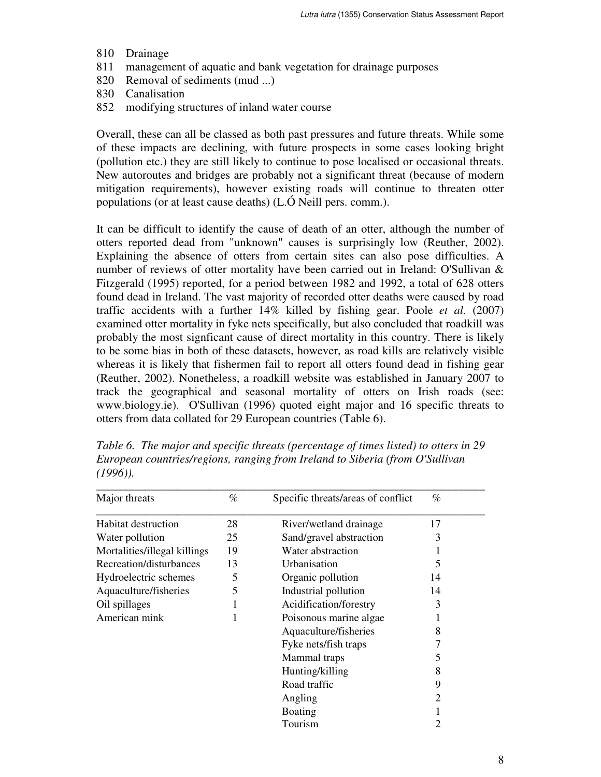- 810 Drainage
- 811 management of aquatic and bank vegetation for drainage purposes
- 820 Removal of sediments (mud ...)
- 830 Canalisation
- 852 modifying structures of inland water course

Overall, these can all be classed as both past pressures and future threats. While some of these impacts are declining, with future prospects in some cases looking bright (pollution etc.) they are still likely to continue to pose localised or occasional threats. New autoroutes and bridges are probably not a significant threat (because of modern mitigation requirements), however existing roads will continue to threaten otter populations (or at least cause deaths) (L.Ó Neill pers. comm.).

It can be difficult to identify the cause of death of an otter, although the number of otters reported dead from "unknown" causes is surprisingly low (Reuther, 2002). Explaining the absence of otters from certain sites can also pose difficulties. A number of reviews of otter mortality have been carried out in Ireland: O'Sullivan & Fitzgerald (1995) reported, for a period between 1982 and 1992, a total of 628 otters found dead in Ireland. The vast majority of recorded otter deaths were caused by road traffic accidents with a further 14% killed by fishing gear. Poole *et al.* (2007) examined otter mortality in fyke nets specifically, but also concluded that roadkill was probably the most signficant cause of direct mortality in this country. There is likely to be some bias in both of these datasets, however, as road kills are relatively visible whereas it is likely that fishermen fail to report all otters found dead in fishing gear (Reuther, 2002). Nonetheless, a roadkill website was established in January 2007 to track the geographical and seasonal mortality of otters on Irish roads (see: www.biology.ie). O'Sullivan (1996) quoted eight major and 16 specific threats to otters from data collated for 29 European countries (Table 6).

| Major threats                | $\%$ | Specific threats/areas of conflict | $\%$ |
|------------------------------|------|------------------------------------|------|
| Habitat destruction          | 28   | River/wetland drainage             | 17   |
| Water pollution              | 25   | Sand/gravel abstraction            | 3    |
| Mortalities/illegal killings | 19   | Water abstraction                  |      |
| Recreation/disturbances      | 13   | Urbanisation                       | 5    |
| Hydroelectric schemes        | 5    | Organic pollution                  | 14   |
| Aquaculture/fisheries        | 5    | Industrial pollution               | 14   |
| Oil spillages                |      | Acidification/forestry             | 3    |
| American mink                |      | Poisonous marine algae             |      |
|                              |      | Aquaculture/fisheries              | 8    |
|                              |      | Fyke nets/fish traps               | 7    |
|                              |      | Mammal traps                       | 5    |
|                              |      | Hunting/killing                    | 8    |
|                              |      | Road traffic                       | 9    |
|                              |      | Angling                            | 2    |
|                              |      | <b>Boating</b>                     |      |
|                              |      | Tourism                            |      |

*Table 6. The major and specific threats (percentage of times listed) to otters in 29 European countries/regions, ranging from Ireland to Siberia (from O'Sullivan (1996)).*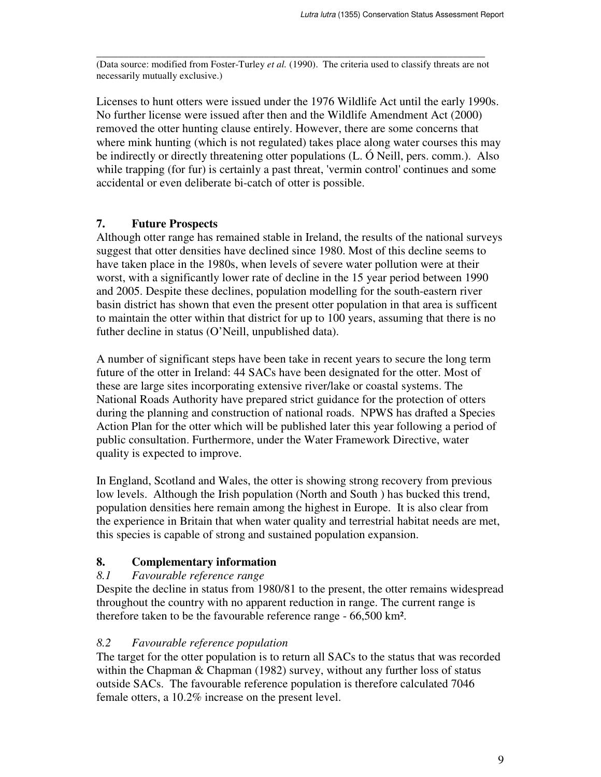\_\_\_\_\_\_\_\_\_\_\_\_\_\_\_\_\_\_\_\_\_\_\_\_\_\_\_\_\_\_\_\_\_\_\_\_\_\_\_\_\_\_\_\_\_\_\_\_\_\_\_\_\_\_\_\_\_\_\_\_\_\_\_\_\_\_\_\_\_\_\_\_ (Data source: modified from Foster-Turley *et al.* (1990). The criteria used to classify threats are not necessarily mutually exclusive.)

Licenses to hunt otters were issued under the 1976 Wildlife Act until the early 1990s. No further license were issued after then and the Wildlife Amendment Act (2000) removed the otter hunting clause entirely. However, there are some concerns that where mink hunting (which is not regulated) takes place along water courses this may be indirectly or directly threatening otter populations (L. Ó Neill, pers. comm.). Also while trapping (for fur) is certainly a past threat, 'vermin control' continues and some accidental or even deliberate bi-catch of otter is possible.

#### **7. Future Prospects**

Although otter range has remained stable in Ireland, the results of the national surveys suggest that otter densities have declined since 1980. Most of this decline seems to have taken place in the 1980s, when levels of severe water pollution were at their worst, with a significantly lower rate of decline in the 15 year period between 1990 and 2005. Despite these declines, population modelling for the south-eastern river basin district has shown that even the present otter population in that area is sufficent to maintain the otter within that district for up to 100 years, assuming that there is no futher decline in status (O'Neill, unpublished data).

A number of significant steps have been take in recent years to secure the long term future of the otter in Ireland: 44 SACs have been designated for the otter. Most of these are large sites incorporating extensive river/lake or coastal systems. The National Roads Authority have prepared strict guidance for the protection of otters during the planning and construction of national roads. NPWS has drafted a Species Action Plan for the otter which will be published later this year following a period of public consultation. Furthermore, under the Water Framework Directive, water quality is expected to improve.

In England, Scotland and Wales, the otter is showing strong recovery from previous low levels. Although the Irish population (North and South ) has bucked this trend, population densities here remain among the highest in Europe. It is also clear from the experience in Britain that when water quality and terrestrial habitat needs are met, this species is capable of strong and sustained population expansion.

### **8. Complementary information**

### *8.1 Favourable reference range*

Despite the decline in status from 1980/81 to the present, the otter remains widespread throughout the country with no apparent reduction in range. The current range is therefore taken to be the favourable reference range - 66,500 km².

#### *8.2 Favourable reference population*

The target for the otter population is to return all SACs to the status that was recorded within the Chapman & Chapman (1982) survey, without any further loss of status outside SACs. The favourable reference population is therefore calculated 7046 female otters, a 10.2% increase on the present level.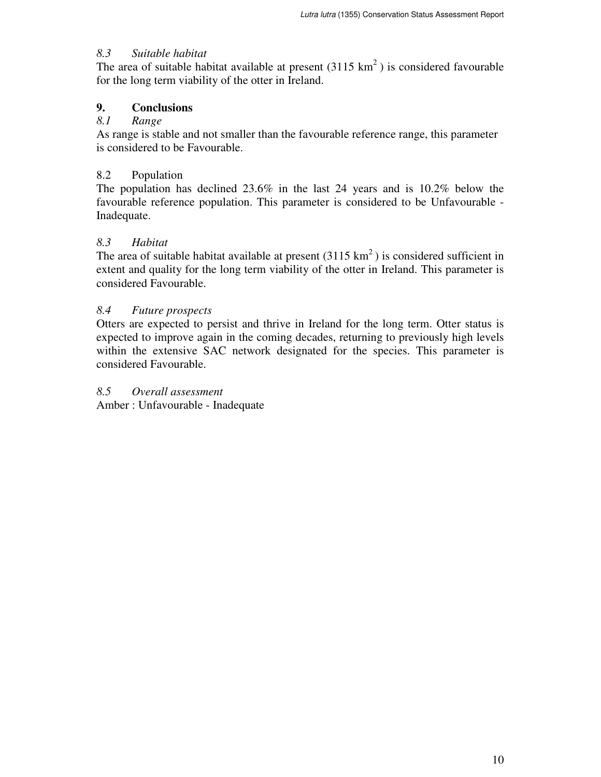#### *8.3 Suitable habitat*

The area of suitable habitat available at present  $(3115 \text{ km}^2)$  is considered favourable for the long term viability of the otter in Ireland.

#### **9. Conclusions**

#### *8.1 Range*

As range is stable and not smaller than the favourable reference range, this parameter is considered to be Favourable.

#### 8.2 Population

The population has declined 23.6% in the last 24 years and is 10.2% below the favourable reference population. This parameter is considered to be Unfavourable - Inadequate.

### *8.3 Habitat*

The area of suitable habitat available at present  $(3115 \text{ km}^2)$  is considered sufficient in extent and quality for the long term viability of the otter in Ireland. This parameter is considered Favourable.

### *8.4 Future prospects*

Otters are expected to persist and thrive in Ireland for the long term. Otter status is expected to improve again in the coming decades, returning to previously high levels within the extensive SAC network designated for the species. This parameter is considered Favourable.

# *8.5 Overall assessment*

Amber : Unfavourable - Inadequate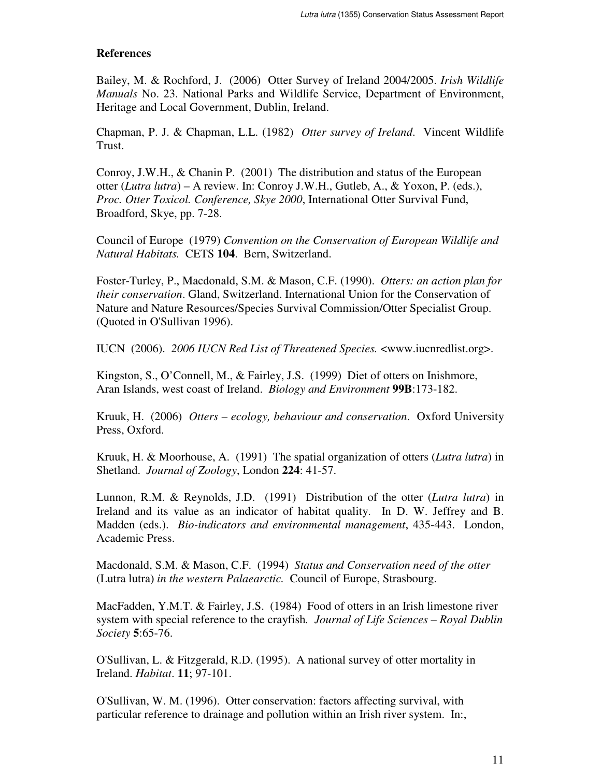### **References**

Bailey, M. & Rochford, J. (2006) Otter Survey of Ireland 2004/2005. *Irish Wildlife Manuals* No. 23. National Parks and Wildlife Service, Department of Environment, Heritage and Local Government, Dublin, Ireland.

Chapman, P. J. & Chapman, L.L. (1982) *Otter survey of Ireland*. Vincent Wildlife Trust.

Conroy, J.W.H., & Chanin P. (2001) The distribution and status of the European otter (*Lutra lutra*) – A review. In: Conroy J.W.H., Gutleb, A., & Yoxon, P. (eds.), *Proc. Otter Toxicol. Conference, Skye 2000*, International Otter Survival Fund, Broadford, Skye, pp. 7-28.

Council of Europe (1979) *Convention on the Conservation of European Wildlife and Natural Habitats.* CETS **104**. Bern, Switzerland.

Foster-Turley, P., Macdonald, S.M. & Mason, C.F. (1990). *Otters: an action plan for their conservation*. Gland, Switzerland. International Union for the Conservation of Nature and Nature Resources/Species Survival Commission/Otter Specialist Group. (Quoted in O'Sullivan 1996).

IUCN (2006). *2006 IUCN Red List of Threatened Species.* <www.iucnredlist.org>.

Kingston, S., O'Connell, M., & Fairley, J.S. (1999) Diet of otters on Inishmore, Aran Islands, west coast of Ireland. *Biology and Environment* **99B**:173-182.

Kruuk, H. (2006) *Otters – ecology, behaviour and conservation*. Oxford University Press, Oxford.

Kruuk, H. & Moorhouse, A. (1991) The spatial organization of otters (*Lutra lutra*) in Shetland. *Journal of Zoology*, London **224**: 41-57.

Lunnon, R.M. & Reynolds, J.D. (1991) Distribution of the otter (*Lutra lutra*) in Ireland and its value as an indicator of habitat quality. In D. W. Jeffrey and B. Madden (eds.). *Bio-indicators and environmental management*, 435-443. London, Academic Press.

Macdonald, S.M. & Mason, C.F. (1994) *Status and Conservation need of the otter* (Lutra lutra) *in the western Palaearctic.* Council of Europe, Strasbourg.

MacFadden, Y.M.T. & Fairley, J.S. (1984) Food of otters in an Irish limestone river system with special reference to the crayfish*. Journal of Life Sciences – Royal Dublin Society* **5**:65-76.

O'Sullivan, L. & Fitzgerald, R.D. (1995). A national survey of otter mortality in Ireland. *Habitat*. **11**; 97-101.

O'Sullivan, W. M. (1996). Otter conservation: factors affecting survival, with particular reference to drainage and pollution within an Irish river system. In:,